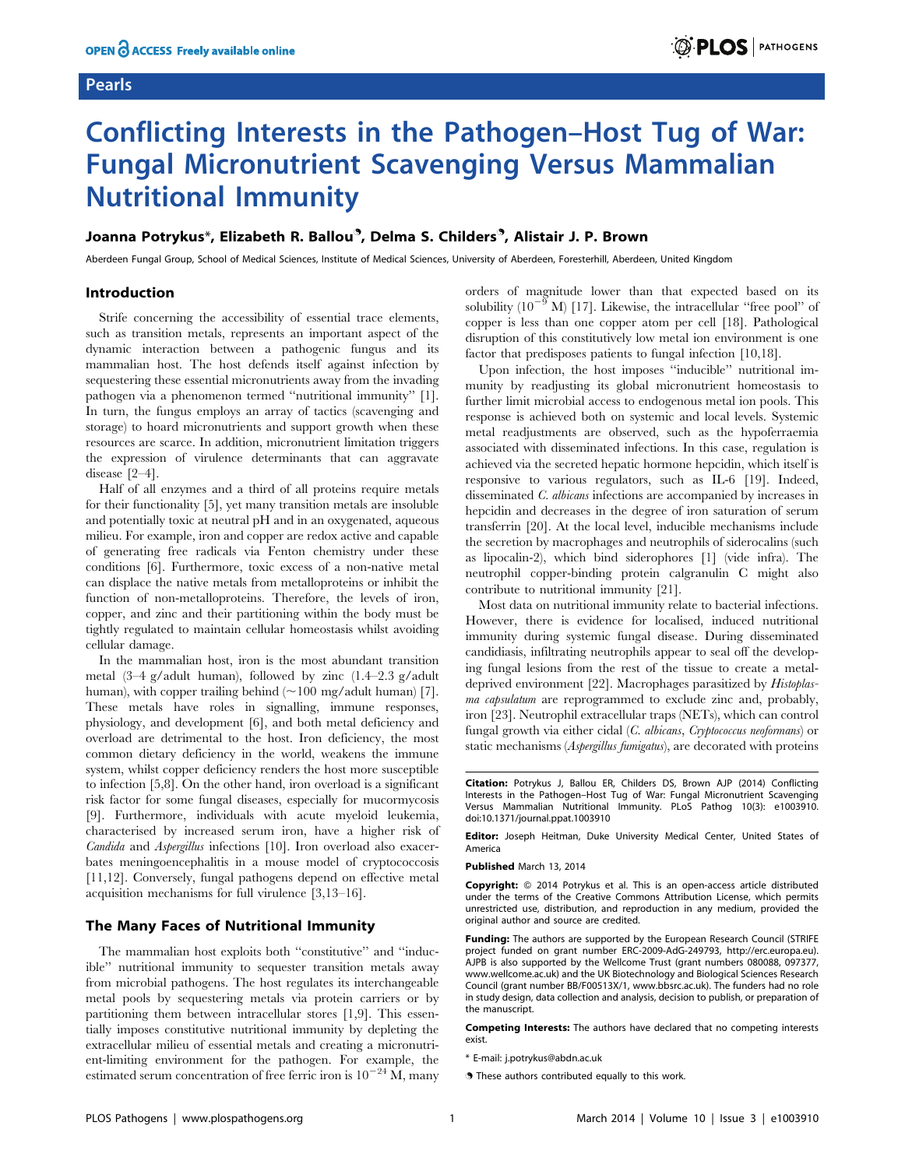# Pearls

# Conflicting Interests in the Pathogen–Host Tug of War: Fungal Micronutrient Scavenging Versus Mammalian Nutritional Immunity

# Joanna Potrykus\*, Elizabeth R. Ballou<sup>9</sup>, Delma S. Childers<sup>9</sup>, Alistair J. P. Brown

Aberdeen Fungal Group, School of Medical Sciences, Institute of Medical Sciences, University of Aberdeen, Foresterhill, Aberdeen, United Kingdom

# Introduction

Strife concerning the accessibility of essential trace elements, such as transition metals, represents an important aspect of the dynamic interaction between a pathogenic fungus and its mammalian host. The host defends itself against infection by sequestering these essential micronutrients away from the invading pathogen via a phenomenon termed ''nutritional immunity'' [1]. In turn, the fungus employs an array of tactics (scavenging and storage) to hoard micronutrients and support growth when these resources are scarce. In addition, micronutrient limitation triggers the expression of virulence determinants that can aggravate disease [2–4].

Half of all enzymes and a third of all proteins require metals for their functionality [5], yet many transition metals are insoluble and potentially toxic at neutral pH and in an oxygenated, aqueous milieu. For example, iron and copper are redox active and capable of generating free radicals via Fenton chemistry under these conditions [6]. Furthermore, toxic excess of a non-native metal can displace the native metals from metalloproteins or inhibit the function of non-metalloproteins. Therefore, the levels of iron, copper, and zinc and their partitioning within the body must be tightly regulated to maintain cellular homeostasis whilst avoiding cellular damage.

In the mammalian host, iron is the most abundant transition metal (3–4 g/adult human), followed by zinc (1.4–2.3 g/adult human), with copper trailing behind  $(\sim 100 \text{ mg}/\text{adult human})$  [7]. These metals have roles in signalling, immune responses, physiology, and development [6], and both metal deficiency and overload are detrimental to the host. Iron deficiency, the most common dietary deficiency in the world, weakens the immune system, whilst copper deficiency renders the host more susceptible to infection [5,8]. On the other hand, iron overload is a significant risk factor for some fungal diseases, especially for mucormycosis [9]. Furthermore, individuals with acute myeloid leukemia, characterised by increased serum iron, have a higher risk of Candida and Aspergillus infections [10]. Iron overload also exacerbates meningoencephalitis in a mouse model of cryptococcosis [11,12]. Conversely, fungal pathogens depend on effective metal acquisition mechanisms for full virulence [3,13–16].

# The Many Faces of Nutritional Immunity

The mammalian host exploits both ''constitutive'' and ''inducible'' nutritional immunity to sequester transition metals away from microbial pathogens. The host regulates its interchangeable metal pools by sequestering metals via protein carriers or by partitioning them between intracellular stores [1,9]. This essentially imposes constitutive nutritional immunity by depleting the extracellular milieu of essential metals and creating a micronutrient-limiting environment for the pathogen. For example, the estimated serum concentration of free ferric iron is  $10^{-24}$  M, many orders of magnitude lower than that expected based on its solubility  $(10^{-9} \text{ M})$  [17]. Likewise, the intracellular "free pool" of copper is less than one copper atom per cell [18]. Pathological disruption of this constitutively low metal ion environment is one factor that predisposes patients to fungal infection [10,18].

Upon infection, the host imposes ''inducible'' nutritional immunity by readjusting its global micronutrient homeostasis to further limit microbial access to endogenous metal ion pools. This response is achieved both on systemic and local levels. Systemic metal readjustments are observed, such as the hypoferraemia associated with disseminated infections. In this case, regulation is achieved via the secreted hepatic hormone hepcidin, which itself is responsive to various regulators, such as IL-6 [19]. Indeed, disseminated C. albicans infections are accompanied by increases in hepcidin and decreases in the degree of iron saturation of serum transferrin [20]. At the local level, inducible mechanisms include the secretion by macrophages and neutrophils of siderocalins (such as lipocalin-2), which bind siderophores [1] (vide infra). The neutrophil copper-binding protein calgranulin C might also contribute to nutritional immunity [21].

Most data on nutritional immunity relate to bacterial infections. However, there is evidence for localised, induced nutritional immunity during systemic fungal disease. During disseminated candidiasis, infiltrating neutrophils appear to seal off the developing fungal lesions from the rest of the tissue to create a metaldeprived environment [22]. Macrophages parasitized by Histoplasma capsulatum are reprogrammed to exclude zinc and, probably, iron [23]. Neutrophil extracellular traps (NETs), which can control fungal growth via either cidal (C. albicans, Cryptococcus neoformans) or static mechanisms (Aspergillus fumigatus), are decorated with proteins

Competing Interests: The authors have declared that no competing interests exist.

. These authors contributed equally to this work.

Citation: Potrykus J, Ballou ER, Childers DS, Brown AJP (2014) Conflicting Interests in the Pathogen–Host Tug of War: Fungal Micronutrient Scavenging Versus Mammalian Nutritional Immunity. PLoS Pathog 10(3): e1003910. doi:10.1371/journal.ppat.1003910

Editor: Joseph Heitman, Duke University Medical Center, United States of America

Published March 13, 2014

Copyright: © 2014 Potrykus et al. This is an open-access article distributed under the terms of the [Creative Commons Attribution License,](http://creativecommons.org/licenses/by/4.0/) which permits unrestricted use, distribution, and reproduction in any medium, provided the original author and source are credited.

Funding: The authors are supported by the European Research Council (STRIFE project funded on grant number ERC-2009-AdG-249793, http://erc.europa.eu). AJPB is also supported by the Wellcome Trust (grant numbers 080088, 097377, www.wellcome.ac.uk) and the UK Biotechnology and Biological Sciences Research Council (grant number BB/F00513X/1, www.bbsrc.ac.uk). The funders had no role in study design, data collection and analysis, decision to publish, or preparation of the manuscript.

<sup>\*</sup> E-mail: j.potrykus@abdn.ac.uk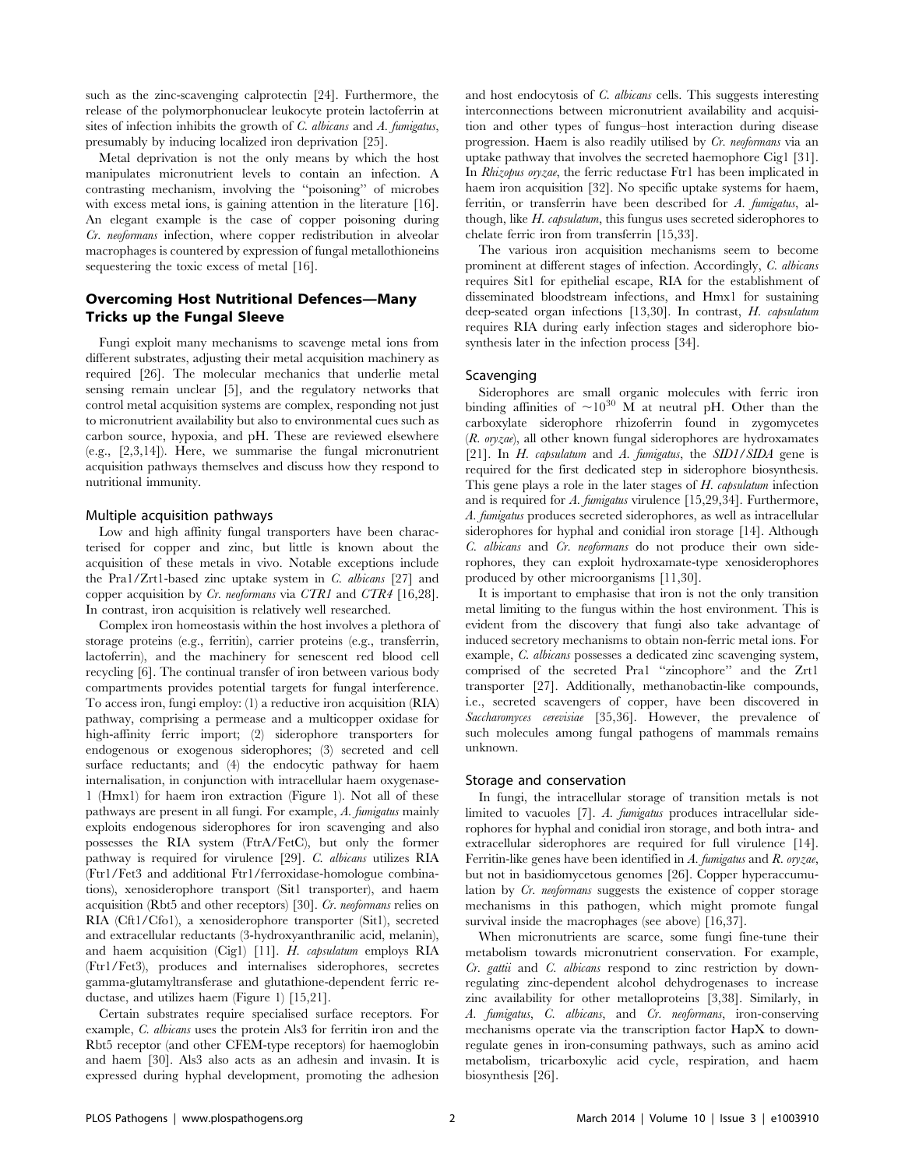such as the zinc-scavenging calprotectin [24]. Furthermore, the release of the polymorphonuclear leukocyte protein lactoferrin at sites of infection inhibits the growth of C. albicans and A. fumigatus, presumably by inducing localized iron deprivation [25].

Metal deprivation is not the only means by which the host manipulates micronutrient levels to contain an infection. A contrasting mechanism, involving the ''poisoning'' of microbes with excess metal ions, is gaining attention in the literature [16]. An elegant example is the case of copper poisoning during Cr. neoformans infection, where copper redistribution in alveolar macrophages is countered by expression of fungal metallothioneins sequestering the toxic excess of metal [16].

# Overcoming Host Nutritional Defences—Many Tricks up the Fungal Sleeve

Fungi exploit many mechanisms to scavenge metal ions from different substrates, adjusting their metal acquisition machinery as required [26]. The molecular mechanics that underlie metal sensing remain unclear [5], and the regulatory networks that control metal acquisition systems are complex, responding not just to micronutrient availability but also to environmental cues such as carbon source, hypoxia, and pH. These are reviewed elsewhere (e.g., [2,3,14]). Here, we summarise the fungal micronutrient acquisition pathways themselves and discuss how they respond to nutritional immunity.

# Multiple acquisition pathways

Low and high affinity fungal transporters have been characterised for copper and zinc, but little is known about the acquisition of these metals in vivo. Notable exceptions include the Pra1/Zrt1-based zinc uptake system in C. albicans [27] and copper acquisition by Cr. neoformans via CTR1 and CTR4 [16,28]. In contrast, iron acquisition is relatively well researched.

Complex iron homeostasis within the host involves a plethora of storage proteins (e.g., ferritin), carrier proteins (e.g., transferrin, lactoferrin), and the machinery for senescent red blood cell recycling [6]. The continual transfer of iron between various body compartments provides potential targets for fungal interference. To access iron, fungi employ: (1) a reductive iron acquisition (RIA) pathway, comprising a permease and a multicopper oxidase for high-affinity ferric import; (2) siderophore transporters for endogenous or exogenous siderophores; (3) secreted and cell surface reductants; and (4) the endocytic pathway for haem internalisation, in conjunction with intracellular haem oxygenase-1 (Hmx1) for haem iron extraction (Figure 1). Not all of these pathways are present in all fungi. For example, A. fumigatus mainly exploits endogenous siderophores for iron scavenging and also possesses the RIA system (FtrA/FetC), but only the former pathway is required for virulence [29]. C. albicans utilizes RIA (Ftr1/Fet3 and additional Ftr1/ferroxidase-homologue combinations), xenosiderophore transport (Sit1 transporter), and haem acquisition (Rbt5 and other receptors) [30]. Cr. neoformans relies on RIA (Cft1/Cfo1), a xenosiderophore transporter (Sit1), secreted and extracellular reductants (3-hydroxyanthranilic acid, melanin), and haem acquisition (Cig1) [11]. H. capsulatum employs RIA (Ftr1/Fet3), produces and internalises siderophores, secretes gamma-glutamyltransferase and glutathione-dependent ferric reductase, and utilizes haem (Figure 1) [15,21].

Certain substrates require specialised surface receptors. For example, C. albicans uses the protein Als3 for ferritin iron and the Rbt5 receptor (and other CFEM-type receptors) for haemoglobin and haem [30]. Als3 also acts as an adhesin and invasin. It is expressed during hyphal development, promoting the adhesion and host endocytosis of C. albicans cells. This suggests interesting interconnections between micronutrient availability and acquisition and other types of fungus–host interaction during disease progression. Haem is also readily utilised by Cr. neoformans via an uptake pathway that involves the secreted haemophore Cig1 [31]. In Rhizopus oryzae, the ferric reductase Ftr1 has been implicated in haem iron acquisition [32]. No specific uptake systems for haem, ferritin, or transferrin have been described for A. fumigatus, although, like H. capsulatum, this fungus uses secreted siderophores to chelate ferric iron from transferrin [15,33].

The various iron acquisition mechanisms seem to become prominent at different stages of infection. Accordingly, C. albicans requires Sit1 for epithelial escape, RIA for the establishment of disseminated bloodstream infections, and Hmx1 for sustaining deep-seated organ infections [13,30]. In contrast, H. capsulatum requires RIA during early infection stages and siderophore biosynthesis later in the infection process [34].

#### Scavenging

Siderophores are small organic molecules with ferric iron binding affinities of  $\sim 10^{30}$  M at neutral pH. Other than the carboxylate siderophore rhizoferrin found in zygomycetes (R. oryzae), all other known fungal siderophores are hydroxamates [21]. In  $H$ . capsulatum and  $A$ . fumigatus, the SID1/SIDA gene is required for the first dedicated step in siderophore biosynthesis. This gene plays a role in the later stages of H. *capsulatum* infection and is required for A. fumigatus virulence [15,29,34]. Furthermore, A. fumigatus produces secreted siderophores, as well as intracellular siderophores for hyphal and conidial iron storage [14]. Although C. albicans and Cr. neoformans do not produce their own siderophores, they can exploit hydroxamate-type xenosiderophores produced by other microorganisms [11,30].

It is important to emphasise that iron is not the only transition metal limiting to the fungus within the host environment. This is evident from the discovery that fungi also take advantage of induced secretory mechanisms to obtain non-ferric metal ions. For example, C. albicans possesses a dedicated zinc scavenging system, comprised of the secreted Pra1 ''zincophore'' and the Zrt1 transporter [27]. Additionally, methanobactin-like compounds, i.e., secreted scavengers of copper, have been discovered in Saccharomyces cerevisiae [35,36]. However, the prevalence of such molecules among fungal pathogens of mammals remains unknown.

#### Storage and conservation

In fungi, the intracellular storage of transition metals is not limited to vacuoles [7]. A. fumigatus produces intracellular siderophores for hyphal and conidial iron storage, and both intra- and extracellular siderophores are required for full virulence [14]. Ferritin-like genes have been identified in A. fumigatus and R. oryzae, but not in basidiomycetous genomes [26]. Copper hyperaccumulation by Cr. neoformans suggests the existence of copper storage mechanisms in this pathogen, which might promote fungal survival inside the macrophages (see above) [16,37].

When micronutrients are scarce, some fungi fine-tune their metabolism towards micronutrient conservation. For example, Cr. gattii and C. albicans respond to zinc restriction by downregulating zinc-dependent alcohol dehydrogenases to increase zinc availability for other metalloproteins [3,38]. Similarly, in A. fumigatus, C. albicans, and Cr. neoformans, iron-conserving mechanisms operate via the transcription factor HapX to downregulate genes in iron-consuming pathways, such as amino acid metabolism, tricarboxylic acid cycle, respiration, and haem biosynthesis [26].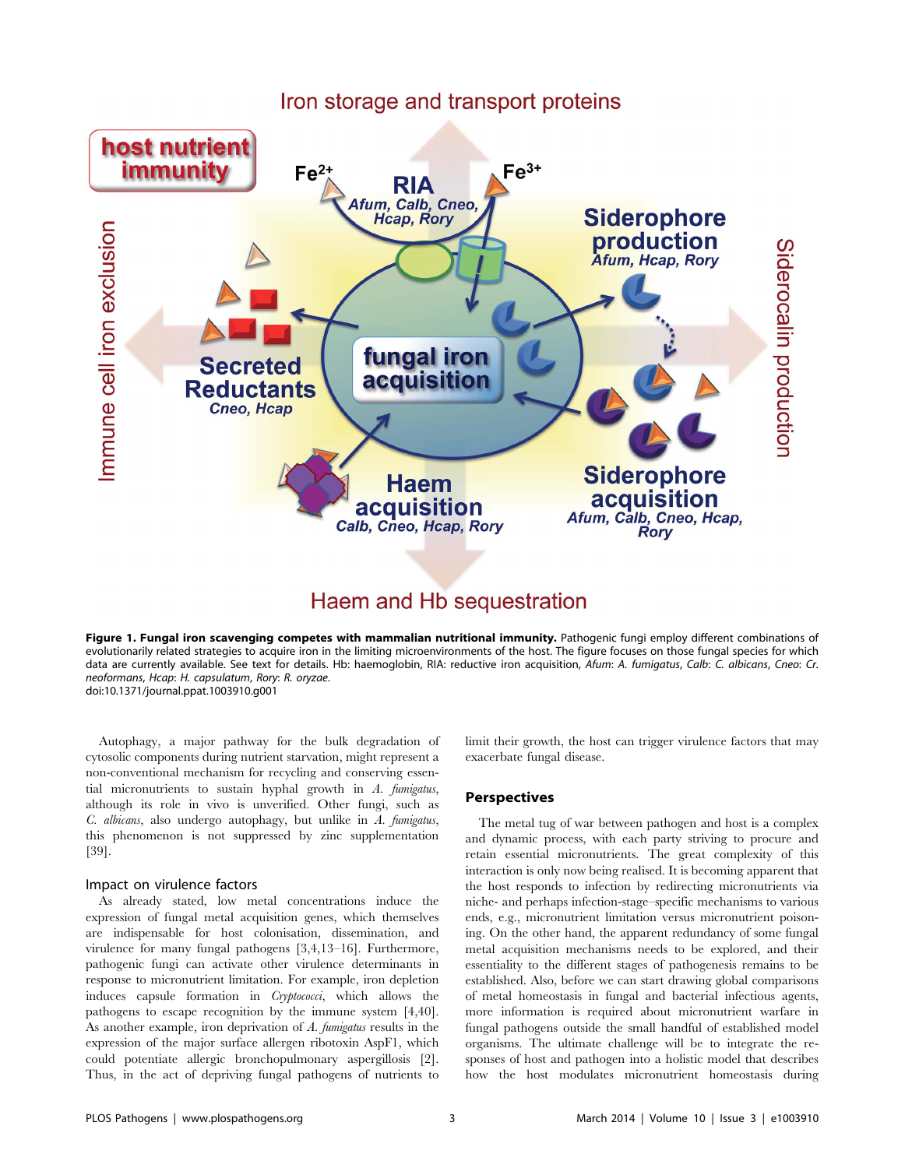

# Haem and Hb sequestration

Figure 1. Fungal iron scavenging competes with mammalian nutritional immunity. Pathogenic fungi employ different combinations of evolutionarily related strategies to acquire iron in the limiting microenvironments of the host. The figure focuses on those fungal species for which data are currently available. See text for details. Hb: haemoglobin, RIA: reductive iron acquisition, Afum: A. fumigatus, Calb: C. albicans, Cneo: Cr. neoformans, Hcap: H. capsulatum, Rory: R. oryzae. doi:10.1371/journal.ppat.1003910.g001

Autophagy, a major pathway for the bulk degradation of cytosolic components during nutrient starvation, might represent a non-conventional mechanism for recycling and conserving essential micronutrients to sustain hyphal growth in A. fumigatus, although its role in vivo is unverified. Other fungi, such as C. albicans, also undergo autophagy, but unlike in A. fumigatus, this phenomenon is not suppressed by zinc supplementation [39].

# Impact on virulence factors

As already stated, low metal concentrations induce the expression of fungal metal acquisition genes, which themselves are indispensable for host colonisation, dissemination, and virulence for many fungal pathogens [3,4,13–16]. Furthermore, pathogenic fungi can activate other virulence determinants in response to micronutrient limitation. For example, iron depletion induces capsule formation in Cryptococci, which allows the pathogens to escape recognition by the immune system [4,40]. As another example, iron deprivation of A. fumigatus results in the expression of the major surface allergen ribotoxin AspF1, which could potentiate allergic bronchopulmonary aspergillosis [2]. Thus, in the act of depriving fungal pathogens of nutrients to limit their growth, the host can trigger virulence factors that may exacerbate fungal disease.

# **Perspectives**

The metal tug of war between pathogen and host is a complex and dynamic process, with each party striving to procure and retain essential micronutrients. The great complexity of this interaction is only now being realised. It is becoming apparent that the host responds to infection by redirecting micronutrients via niche- and perhaps infection-stage–specific mechanisms to various ends, e.g., micronutrient limitation versus micronutrient poisoning. On the other hand, the apparent redundancy of some fungal metal acquisition mechanisms needs to be explored, and their essentiality to the different stages of pathogenesis remains to be established. Also, before we can start drawing global comparisons of metal homeostasis in fungal and bacterial infectious agents, more information is required about micronutrient warfare in fungal pathogens outside the small handful of established model organisms. The ultimate challenge will be to integrate the responses of host and pathogen into a holistic model that describes how the host modulates micronutrient homeostasis during